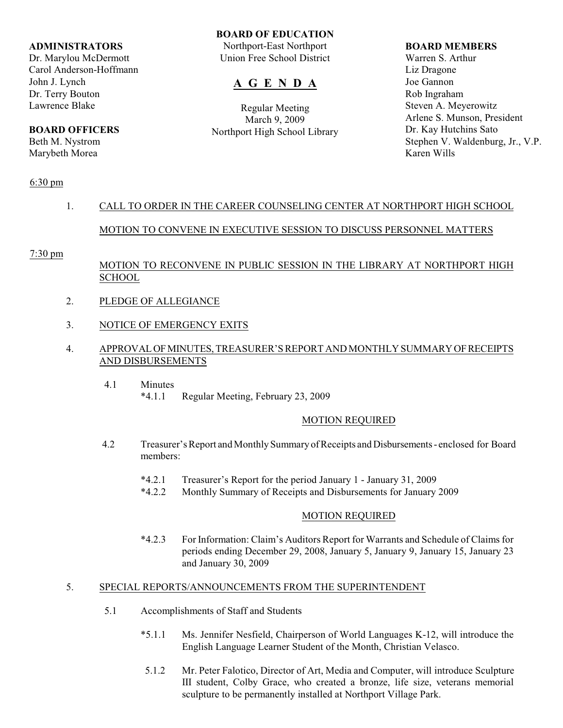#### **ADMINISTRATORS**

Dr. Marylou McDermott Carol Anderson-Hoffmann John J. Lynch Dr. Terry Bouton Lawrence Blake

# **BOARD OFFICERS**

Beth M. Nystrom Marybeth Morea

#### **BOARD OF EDUCATION**

Northport-East Northport Union Free School District

# **A G E N D A**

Regular Meeting March 9, 2009 Northport High School Library

#### **BOARD MEMBERS**

Warren S. Arthur Liz Dragone Joe Gannon Rob Ingraham Steven A. Meyerowitz Arlene S. Munson, President Dr. Kay Hutchins Sato Stephen V. Waldenburg, Jr., V.P. Karen Wills

### 6:30 pm

# 1. CALL TO ORDER IN THE CAREER COUNSELING CENTER AT NORTHPORT HIGH SCHOOL

# MOTION TO CONVENE IN EXECUTIVE SESSION TO DISCUSS PERSONNEL MATTERS

#### 7:30 pm

# MOTION TO RECONVENE IN PUBLIC SESSION IN THE LIBRARY AT NORTHPORT HIGH SCHOOL

- 2. PLEDGE OF ALLEGIANCE
- 3. NOTICE OF EMERGENCY EXITS

### 4. APPROVAL OF MINUTES, TREASURER'S REPORT AND MONTHLY SUMMARY OF RECEIPTS AND DISBURSEMENTS

 4.1 Minutes \*4.1.1 Regular Meeting, February 23, 2009

### MOTION REQUIRED

- 4.2 Treasurer's Report and Monthly Summary of Receipts and Disbursements enclosed for Board members:
	- \*4.2.1 Treasurer's Report for the period January 1 January 31, 2009
	- \*4.2.2 Monthly Summary of Receipts and Disbursements for January 2009

#### MOTION REQUIRED

\*4.2.3 For Information: Claim's Auditors Report for Warrants and Schedule of Claims for periods ending December 29, 2008, January 5, January 9, January 15, January 23 and January 30, 2009

# 5. SPECIAL REPORTS/ANNOUNCEMENTS FROM THE SUPERINTENDENT

- 5.1 Accomplishments of Staff and Students
	- \*5.1.1 Ms. Jennifer Nesfield, Chairperson of World Languages K-12, will introduce the English Language Learner Student of the Month, Christian Velasco.
	- 5.1.2 Mr. Peter Falotico, Director of Art, Media and Computer, will introduce Sculpture III student, Colby Grace, who created a bronze, life size, veterans memorial sculpture to be permanently installed at Northport Village Park.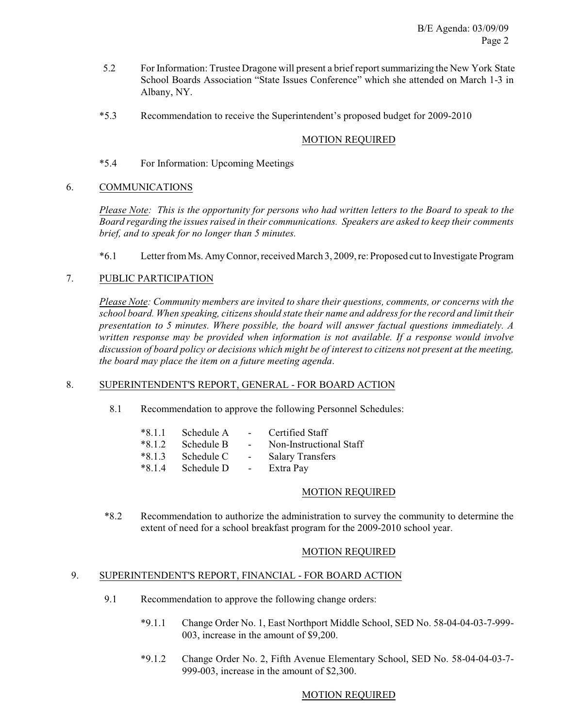- 5.2 For Information: Trustee Dragone will present a brief reportsummarizing the New York State School Boards Association "State Issues Conference" which she attended on March 1-3 in Albany, NY.
- \*5.3 Recommendation to receive the Superintendent's proposed budget for 2009-2010

## MOTION REQUIRED

\*5.4 For Information: Upcoming Meetings

## 6. COMMUNICATIONS

*Please Note: This is the opportunity for persons who had written letters to the Board to speak to the Board regarding the issues raised in their communications. Speakers are asked to keep their comments brief, and to speak for no longer than 5 minutes.*

\*6.1 Letter from Ms. Amy Connor, received March 3, 2009, re: Proposed cut to Investigate Program

## 7. PUBLIC PARTICIPATION

*Please Note: Community members are invited to share their questions, comments, or concerns with the school board. When speaking, citizens should state their name and address for the record and limit their presentation to 5 minutes. Where possible, the board will answer factual questions immediately. A written response may be provided when information is not available. If a response would involve discussion of board policy or decisions which might be of interest to citizens not present at the meeting, the board may place the item on a future meeting agenda*.

### 8. SUPERINTENDENT'S REPORT, GENERAL - FOR BOARD ACTION

8.1 Recommendation to approve the following Personnel Schedules:

| $*8.1.1$ | Schedule A |                          | Certified Staff         |
|----------|------------|--------------------------|-------------------------|
| $*8.1.2$ | Schedule B | <b>Contract Contract</b> | Non-Instructional Staff |
| $*8.1.3$ | Schedule C | $\sim 10^{-10}$          | <b>Salary Transfers</b> |
| $*8.1.4$ | Schedule D | <b>Contract Contract</b> | Extra Pay               |

### MOTION REQUIRED

 \*8.2 Recommendation to authorize the administration to survey the community to determine the extent of need for a school breakfast program for the 2009-2010 school year.

### MOTION REQUIRED

# 9. SUPERINTENDENT'S REPORT, FINANCIAL - FOR BOARD ACTION

- 9.1 Recommendation to approve the following change orders:
	- \*9.1.1 Change Order No. 1, East Northport Middle School, SED No. 58-04-04-03-7-999- 003, increase in the amount of \$9,200.
	- \*9.1.2 Change Order No. 2, Fifth Avenue Elementary School, SED No. 58-04-04-03-7- 999-003, increase in the amount of \$2,300.

### MOTION REQUIRED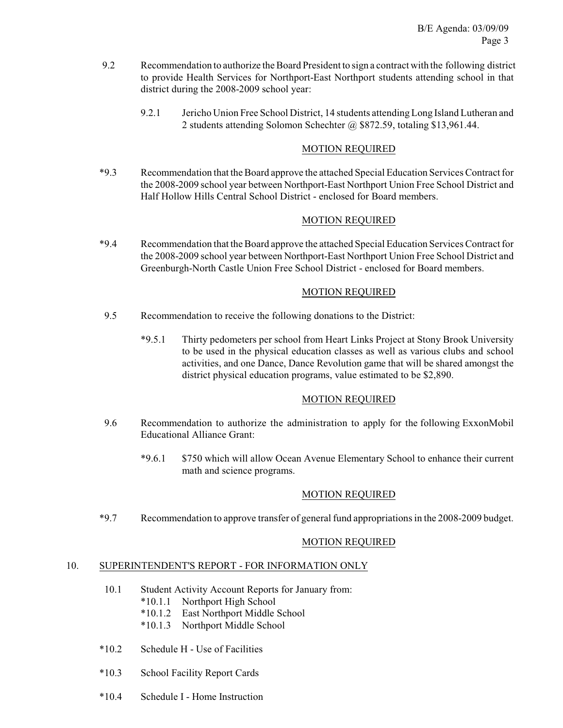- 9.2 Recommendation to authorize the Board President to sign a contract with the following district to provide Health Services for Northport-East Northport students attending school in that district during the 2008-2009 school year:
	- 9.2.1 Jericho Union Free School District, 14 students attending Long Island Lutheran and 2 students attending Solomon Schechter @ \$872.59, totaling \$13,961.44.

### MOTION REQUIRED

\*9.3 Recommendation that the Board approve the attached Special Education Services Contract for the 2008-2009 school year between Northport-East Northport Union Free School District and Half Hollow Hills Central School District - enclosed for Board members.

## MOTION REQUIRED

\*9.4 Recommendation that the Board approve the attached Special Education Services Contract for the 2008-2009 school year between Northport-East Northport Union Free School District and Greenburgh-North Castle Union Free School District - enclosed for Board members.

### MOTION REQUIRED

- 9.5 Recommendation to receive the following donations to the District:
	- \*9.5.1 Thirty pedometers per school from Heart Links Project at Stony Brook University to be used in the physical education classes as well as various clubs and school activities, and one Dance, Dance Revolution game that will be shared amongst the district physical education programs, value estimated to be \$2,890.

### MOTION REQUIRED

- 9.6 Recommendation to authorize the administration to apply for the following ExxonMobil Educational Alliance Grant:
	- \*9.6.1 \$750 which will allow Ocean Avenue Elementary School to enhance their current math and science programs.

### MOTION REQUIRED

\*9.7 Recommendation to approve transfer of general fund appropriations in the 2008-2009 budget.

### MOTION REQUIRED

### 10. SUPERINTENDENT'S REPORT - FOR INFORMATION ONLY

- 10.1 Student Activity Account Reports for January from:
	- \*10.1.1 Northport High School
	- \*10.1.2 East Northport Middle School
	- \*10.1.3 Northport Middle School
- \*10.2 Schedule H Use of Facilities
- \*10.3 School Facility Report Cards
- \*10.4 Schedule I Home Instruction